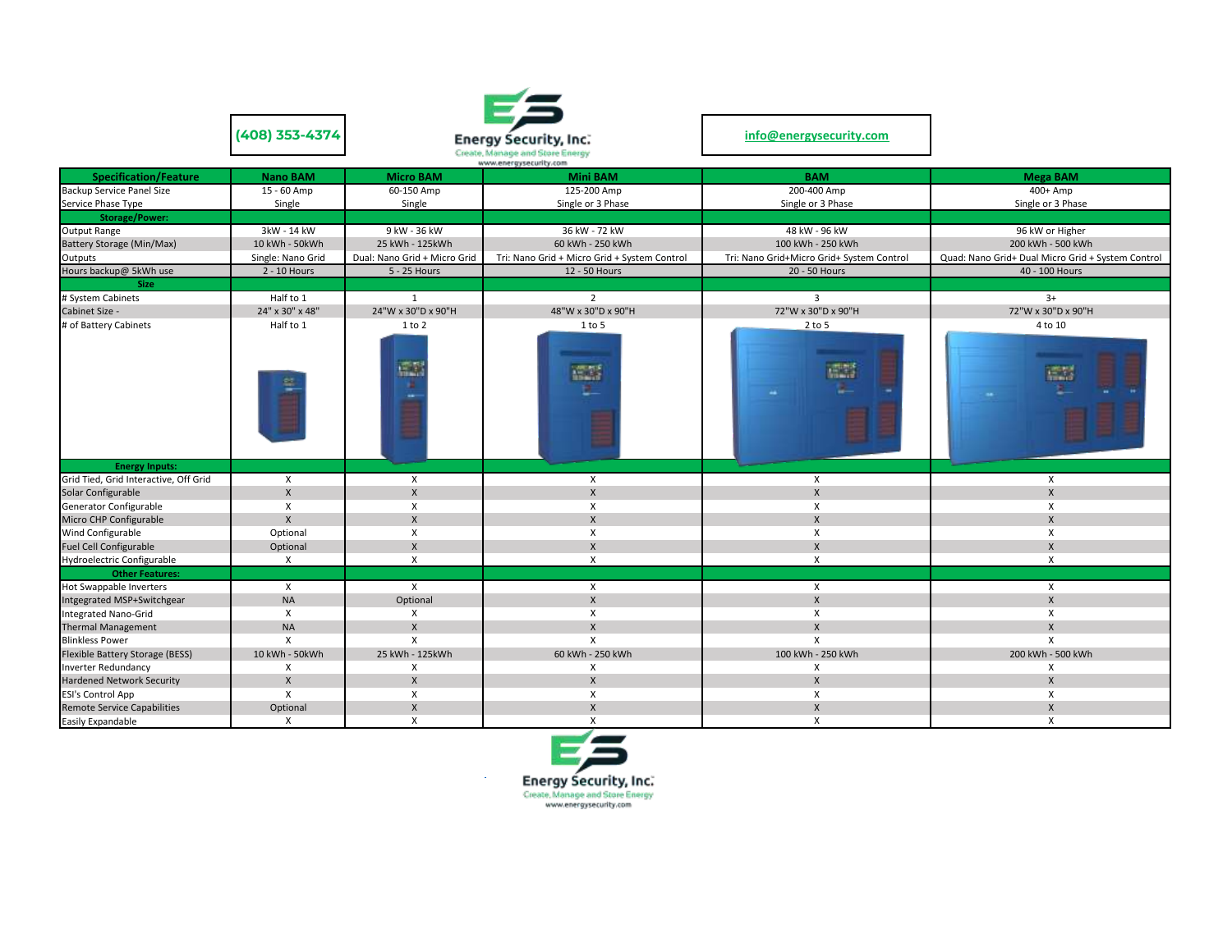